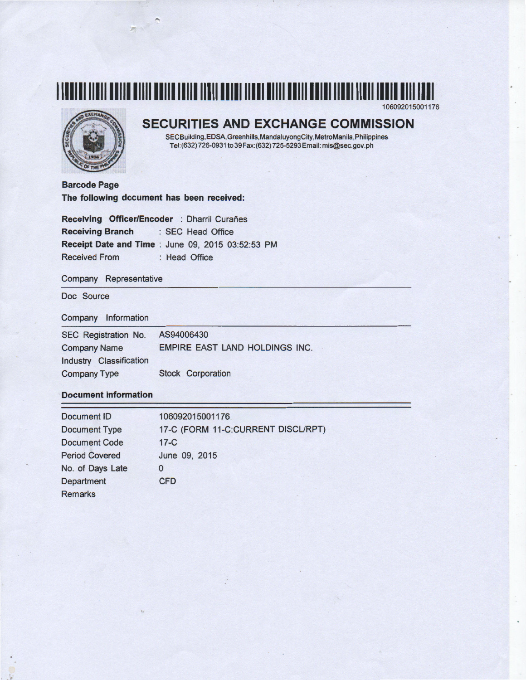

106092015001176



### **SECURITIES AND EXCHANGE COMMISSION**

SECBuilding,EDSA,Greenhills,MandaluyongCity,MetroManila,Philippines Tel: (632) 726-0931 to 39 Fax: (632) 725-5293 Email: mis@sec. gov. ph

**Barcode Page The following document has been received:** 

**Receiving Officer/Encoder** : Dharril Curañes **Receiving Branch** : SEC Head Office **Receipt Date and Time** : June 09, 2015 03:52:53 PM Received From : Head Office

### Company Representative

Doc Source

 $\ddot{\cdot}$ 

#### Company Information

| SEC Registration No.    | AS94006430                     |
|-------------------------|--------------------------------|
| <b>Company Name</b>     | EMPIRE EAST LAND HOLDINGS INC. |
| Industry Classification |                                |
| <b>Company Type</b>     | <b>Stock Corporation</b>       |

### **Document Information**

| Document ID           | 106092015001176                    |
|-----------------------|------------------------------------|
| <b>Document Type</b>  | 17-C (FORM 11-C:CURRENT DISCL/RPT) |
| <b>Document Code</b>  | $17-C$                             |
| <b>Period Covered</b> | June 09, 2015                      |
| No. of Days Late      | 0                                  |
| Department            | <b>CFD</b>                         |
| <b>Remarks</b>        |                                    |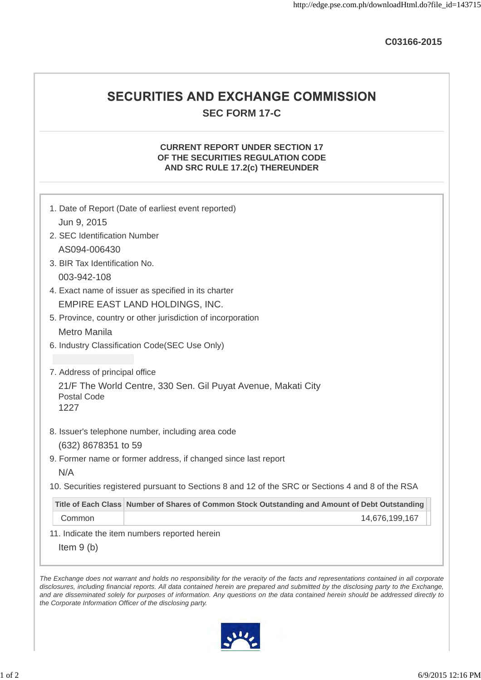**C03166-2015**

### SECURITIES AND EXCHANGE COMMISSION **SEC FORM 17-C**

### **CURRENT REPORT UNDER SECTION 17 OF THE SECURITIES REGULATION CODE AND SRC RULE 17.2(c) THEREUNDER**

|                                | 1. Date of Report (Date of earliest event reported)                                               |
|--------------------------------|---------------------------------------------------------------------------------------------------|
| Jun 9, 2015                    |                                                                                                   |
| 2. SEC Identification Number   |                                                                                                   |
| AS094-006430                   |                                                                                                   |
| 3. BIR Tax Identification No.  |                                                                                                   |
| 003-942-108                    |                                                                                                   |
|                                | 4. Exact name of issuer as specified in its charter                                               |
|                                | EMPIRE EAST LAND HOLDINGS, INC.                                                                   |
|                                | 5. Province, country or other jurisdiction of incorporation                                       |
| Metro Manila                   |                                                                                                   |
|                                | 6. Industry Classification Code(SEC Use Only)                                                     |
|                                |                                                                                                   |
| 7. Address of principal office |                                                                                                   |
| <b>Postal Code</b><br>1227     | 21/F The World Centre, 330 Sen. Gil Puyat Avenue, Makati City                                     |
|                                | 8. Issuer's telephone number, including area code                                                 |
| (632) 8678351 to 59            |                                                                                                   |
|                                | 9. Former name or former address, if changed since last report                                    |
| N/A                            |                                                                                                   |
|                                | 10. Securities registered pursuant to Sections 8 and 12 of the SRC or Sections 4 and 8 of the RSA |
|                                | Title of Each Class Number of Shares of Common Stock Outstanding and Amount of Debt Outstanding   |
| Common                         | 14,676,199,167                                                                                    |
|                                | 11. Indicate the item numbers reported herein                                                     |
|                                |                                                                                                   |

*disclosures, including financial reports. All data contained herein are prepared and submitted by the disclosing party to the Exchange, and are disseminated solely for purposes of information. Any questions on the data contained herein should be addressed directly to the Corporate Information Officer of the disclosing party.*

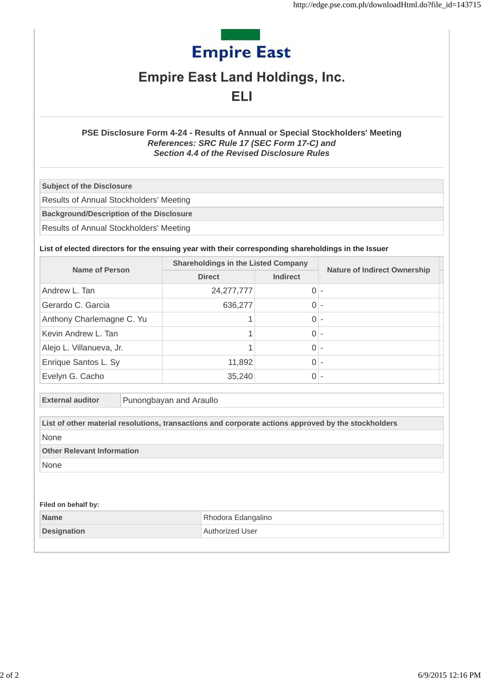# **Empire East**

## **Empire East Land Holdings, Inc.**

### ELI

### **PSE Disclosure Form 4-24 - Results of Annual or Special Stockholders' Meeting** *References: SRC Rule 17 (SEC Form 17-C) and Section 4.4 of the Revised Disclosure Rules*

**Subject of the Disclosure**

Results of Annual Stockholders' Meeting

**Background/Description of the Disclosure**

Results of Annual Stockholders' Meeting

### **List of elected directors for the ensuing year with their corresponding shareholdings in the Issuer**

| Name of Person            | <b>Shareholdings in the Listed Company</b> |                 |                                     |
|---------------------------|--------------------------------------------|-----------------|-------------------------------------|
|                           | <b>Direct</b>                              | <b>Indirect</b> | <b>Nature of Indirect Ownership</b> |
| Andrew L. Tan             | 24,277,777                                 | 0               |                                     |
| Gerardo C. Garcia         | 636,277                                    |                 |                                     |
| Anthony Charlemagne C. Yu |                                            |                 |                                     |
| Kevin Andrew L. Tan       |                                            | 0               |                                     |
| Alejo L. Villanueva, Jr.  |                                            | 0               |                                     |
| Enrique Santos L. Sy      | 11,892                                     | 0               |                                     |
| Evelyn G. Cacho           | 35,240                                     |                 |                                     |

**External auditor** Punongbayan and Araullo

|                                    | List of other material resolutions, transactions and corporate actions approved by the stockholders |
|------------------------------------|-----------------------------------------------------------------------------------------------------|
| None                               |                                                                                                     |
| <b>Other Relevant Information</b>  |                                                                                                     |
| None                               |                                                                                                     |
|                                    |                                                                                                     |
|                                    |                                                                                                     |
|                                    |                                                                                                     |
| Filed on behalf by:<br><b>Name</b> | Rhodora Edangalino                                                                                  |